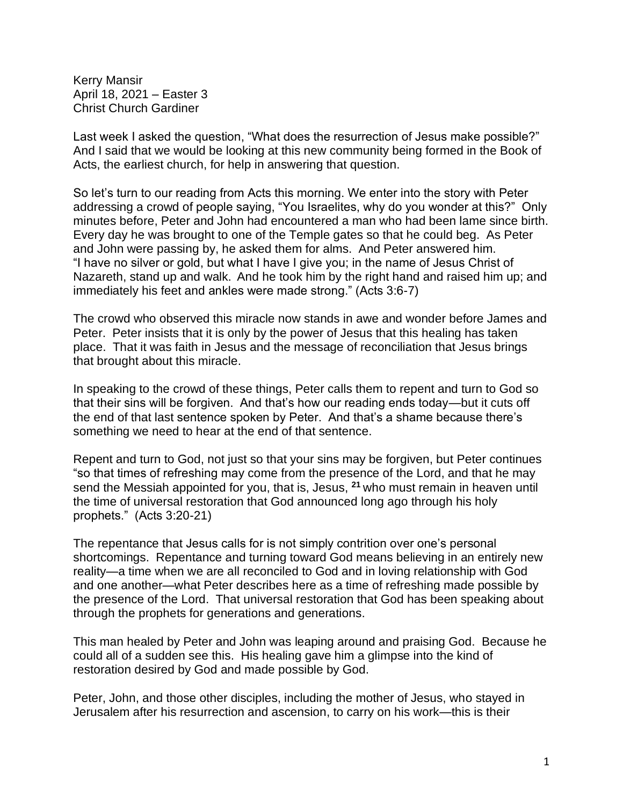Kerry Mansir April 18, 2021 – Easter 3 Christ Church Gardiner

Last week I asked the question, "What does the resurrection of Jesus make possible?" And I said that we would be looking at this new community being formed in the Book of Acts, the earliest church, for help in answering that question.

So let's turn to our reading from Acts this morning. We enter into the story with Peter addressing a crowd of people saying, "You Israelites, why do you wonder at this?" Only minutes before, Peter and John had encountered a man who had been lame since birth. Every day he was brought to one of the Temple gates so that he could beg. As Peter and John were passing by, he asked them for alms. And Peter answered him. "I have no silver or gold, but what I have I give you; in the name of Jesus Christ of Nazareth, stand up and walk. And he took him by the right hand and raised him up; and immediately his feet and ankles were made strong." (Acts 3:6-7)

The crowd who observed this miracle now stands in awe and wonder before James and Peter. Peter insists that it is only by the power of Jesus that this healing has taken place. That it was faith in Jesus and the message of reconciliation that Jesus brings that brought about this miracle.

In speaking to the crowd of these things, Peter calls them to repent and turn to God so that their sins will be forgiven. And that's how our reading ends today—but it cuts off the end of that last sentence spoken by Peter. And that's a shame because there's something we need to hear at the end of that sentence.

Repent and turn to God, not just so that your sins may be forgiven, but Peter continues "so that times of refreshing may come from the presence of the Lord, and that he may send the Messiah appointed for you, that is, Jesus, **<sup>21</sup>** who must remain in heaven until the time of universal restoration that God announced long ago through his holy prophets." (Acts 3:20-21)

The repentance that Jesus calls for is not simply contrition over one's personal shortcomings. Repentance and turning toward God means believing in an entirely new reality—a time when we are all reconciled to God and in loving relationship with God and one another—what Peter describes here as a time of refreshing made possible by the presence of the Lord. That universal restoration that God has been speaking about through the prophets for generations and generations.

This man healed by Peter and John was leaping around and praising God. Because he could all of a sudden see this. His healing gave him a glimpse into the kind of restoration desired by God and made possible by God.

Peter, John, and those other disciples, including the mother of Jesus, who stayed in Jerusalem after his resurrection and ascension, to carry on his work—this is their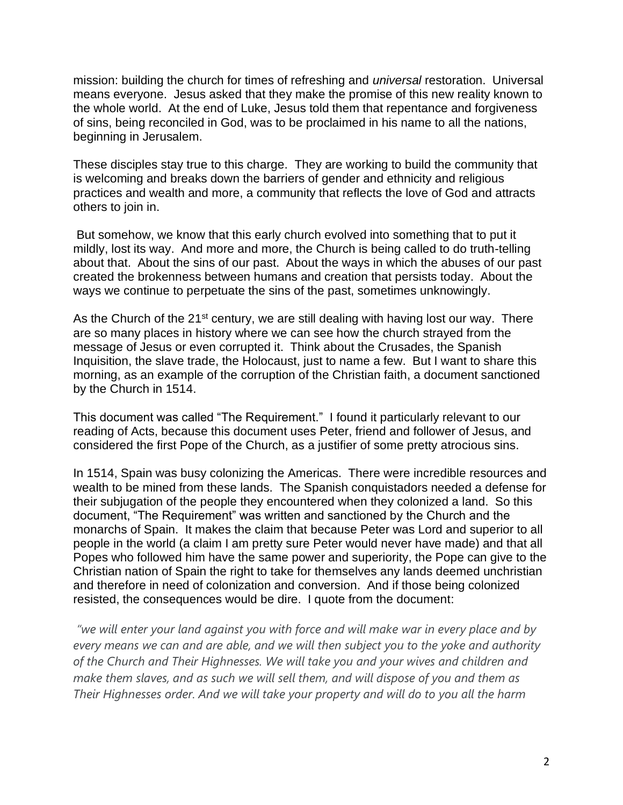mission: building the church for times of refreshing and *universal* restoration. Universal means everyone. Jesus asked that they make the promise of this new reality known to the whole world. At the end of Luke, Jesus told them that repentance and forgiveness of sins, being reconciled in God, was to be proclaimed in his name to all the nations, beginning in Jerusalem.

These disciples stay true to this charge. They are working to build the community that is welcoming and breaks down the barriers of gender and ethnicity and religious practices and wealth and more, a community that reflects the love of God and attracts others to join in.

But somehow, we know that this early church evolved into something that to put it mildly, lost its way. And more and more, the Church is being called to do truth-telling about that. About the sins of our past. About the ways in which the abuses of our past created the brokenness between humans and creation that persists today. About the ways we continue to perpetuate the sins of the past, sometimes unknowingly.

As the Church of the  $21^{st}$  century, we are still dealing with having lost our way. There are so many places in history where we can see how the church strayed from the message of Jesus or even corrupted it. Think about the Crusades, the Spanish Inquisition, the slave trade, the Holocaust, just to name a few. But I want to share this morning, as an example of the corruption of the Christian faith, a document sanctioned by the Church in 1514.

This document was called "The Requirement." I found it particularly relevant to our reading of Acts, because this document uses Peter, friend and follower of Jesus, and considered the first Pope of the Church, as a justifier of some pretty atrocious sins.

In 1514, Spain was busy colonizing the Americas. There were incredible resources and wealth to be mined from these lands. The Spanish conquistadors needed a defense for their subjugation of the people they encountered when they colonized a land. So this document, "The Requirement" was written and sanctioned by the Church and the monarchs of Spain. It makes the claim that because Peter was Lord and superior to all people in the world (a claim I am pretty sure Peter would never have made) and that all Popes who followed him have the same power and superiority, the Pope can give to the Christian nation of Spain the right to take for themselves any lands deemed unchristian and therefore in need of colonization and conversion. And if those being colonized resisted, the consequences would be dire. I quote from the document:

*"we will enter your land against you with force and will make war in every place and by every means we can and are able, and we will then subject you to the yoke and authority of the Church and Their Highnesses. We will take you and your wives and children and make them slaves, and as such we will sell them, and will dispose of you and them as Their Highnesses order. And we will take your property and will do to you all the harm*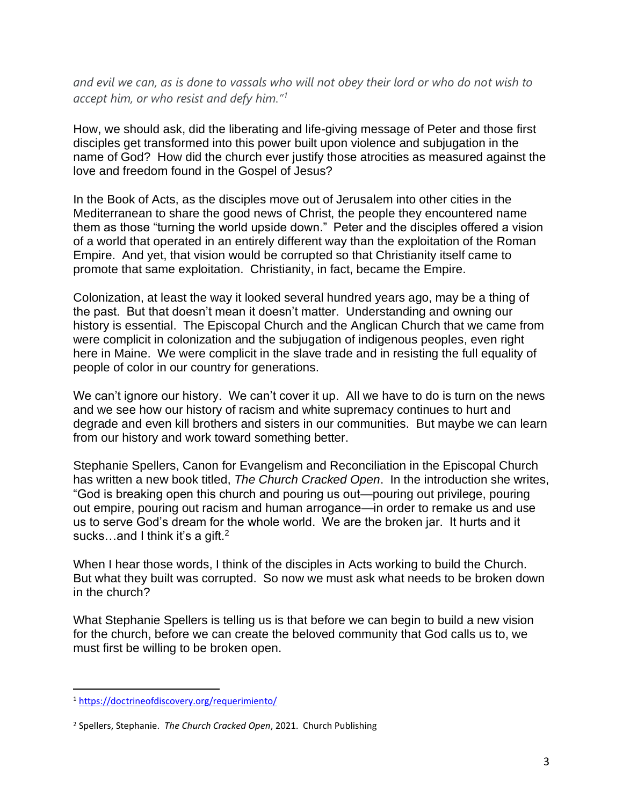*and evil we can, as is done to vassals who will not obey their lord or who do not wish to accept him, or who resist and defy him." 1*

How, we should ask, did the liberating and life-giving message of Peter and those first disciples get transformed into this power built upon violence and subjugation in the name of God? How did the church ever justify those atrocities as measured against the love and freedom found in the Gospel of Jesus?

In the Book of Acts, as the disciples move out of Jerusalem into other cities in the Mediterranean to share the good news of Christ, the people they encountered name them as those "turning the world upside down." Peter and the disciples offered a vision of a world that operated in an entirely different way than the exploitation of the Roman Empire. And yet, that vision would be corrupted so that Christianity itself came to promote that same exploitation. Christianity, in fact, became the Empire.

Colonization, at least the way it looked several hundred years ago, may be a thing of the past. But that doesn't mean it doesn't matter. Understanding and owning our history is essential. The Episcopal Church and the Anglican Church that we came from were complicit in colonization and the subjugation of indigenous peoples, even right here in Maine. We were complicit in the slave trade and in resisting the full equality of people of color in our country for generations.

We can't ignore our history. We can't cover it up. All we have to do is turn on the news and we see how our history of racism and white supremacy continues to hurt and degrade and even kill brothers and sisters in our communities. But maybe we can learn from our history and work toward something better.

Stephanie Spellers, Canon for Evangelism and Reconciliation in the Episcopal Church has written a new book titled, *The Church Cracked Open*. In the introduction she writes, "God is breaking open this church and pouring us out—pouring out privilege, pouring out empire, pouring out racism and human arrogance—in order to remake us and use us to serve God's dream for the whole world. We are the broken jar. It hurts and it sucks...and I think it's a gift.<sup>2</sup>

When I hear those words, I think of the disciples in Acts working to build the Church. But what they built was corrupted. So now we must ask what needs to be broken down in the church?

What Stephanie Spellers is telling us is that before we can begin to build a new vision for the church, before we can create the beloved community that God calls us to, we must first be willing to be broken open.

<sup>1</sup> <https://doctrineofdiscovery.org/requerimiento/>

<sup>2</sup> Spellers, Stephanie. *The Church Cracked Open*, 2021. Church Publishing